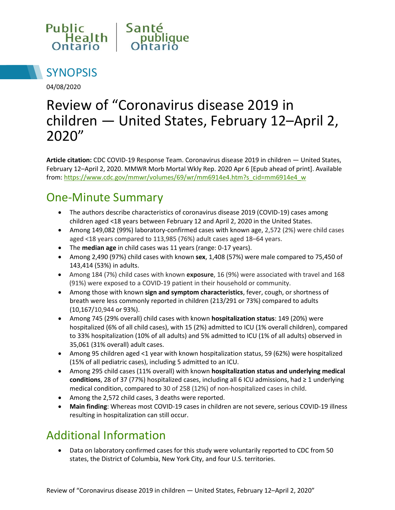



04/08/2020

# Review of "Coronavirus disease 2019 in children — United States, February 12–April 2, 2020"

**Article citation:** CDC COVID-19 Response Team. Coronavirus disease 2019 in children — United States, February 12–April 2, 2020. MMWR Morb Mortal Wkly Rep. 2020 Apr 6 [Epub ahead of print]. Available from: [https://www.cdc.gov/mmwr/volumes/69/wr/mm6914e4.htm?s\\_cid=mm6914e4\\_w](https://www.cdc.gov/mmwr/volumes/69/wr/mm6914e4.htm?s_cid=mm6914e4_w)

#### One-Minute Summary

- The authors describe characteristics of coronavirus disease 2019 (COVID-19) cases among children aged <18 years between February 12 and April 2, 2020 in the United States.
- Among 149,082 (99%) laboratory-confirmed cases with known age, 2,572 (2%) were child cases aged <18 years compared to 113,985 (76%) adult cases aged 18–64 years.
- The **median age** in child cases was 11 years (range: 0-17 years).
- Among 2,490 (97%) child cases with known **sex**, 1,408 (57%) were male compared to 75,450 of 143,414 (53%) in adults.
- Among 184 (7%) child cases with known **exposure**, 16 (9%) were associated with travel and 168 (91%) were exposed to a COVID-19 patient in their household or community.
- Among those with known **sign and symptom characteristics**, fever, cough, or shortness of breath were less commonly reported in children (213/291 or 73%) compared to adults (10,167/10,944 or 93%).
- Among 745 (29% overall) child cases with known **hospitalization status**: 149 (20%) were hospitalized (6% of all child cases), with 15 (2%) admitted to ICU (1% overall children), compared to 33% hospitalization (10% of all adults) and 5% admitted to ICU (1% of all adults) observed in 35,061 (31% overall) adult cases.
- Among 95 children aged <1 year with known hospitalization status, 59 (62%) were hospitalized (15% of all pediatric cases), including 5 admitted to an ICU.
- Among 295 child cases (11% overall) with known **hospitalization status and underlying medical conditions**, 28 of 37 (77%) hospitalized cases, including all 6 ICU admissions, had ≥ 1 underlying medical condition, compared to 30 of 258 (12%) of non-hospitalized cases in child.
- Among the 2,572 child cases, 3 deaths were reported.
- **Main finding**: Whereas most COVID-19 cases in children are not severe, serious COVID-19 illness resulting in hospitalization can still occur.

## Additional Information

 Data on laboratory confirmed cases for this study were voluntarily reported to CDC from 50 states, the District of Columbia, New York City, and four U.S. territories.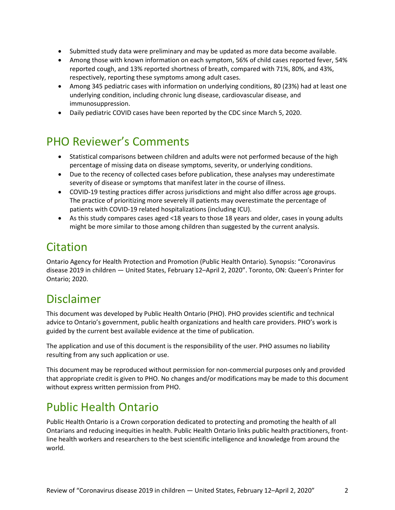- Submitted study data were preliminary and may be updated as more data become available.
- Among those with known information on each symptom, 56% of child cases reported fever, 54% reported cough, and 13% reported shortness of breath, compared with 71%, 80%, and 43%, respectively, reporting these symptoms among adult cases.
- Among 345 pediatric cases with information on underlying conditions, 80 (23%) had at least one underlying condition, including chronic lung disease, cardiovascular disease, and immunosuppression.
- Daily pediatric COVID cases have been reported by the CDC since March 5, 2020.

#### PHO Reviewer's Comments

- Statistical comparisons between children and adults were not performed because of the high percentage of missing data on disease symptoms, severity, or underlying conditions.
- Due to the recency of collected cases before publication, these analyses may underestimate severity of disease or symptoms that manifest later in the course of illness.
- COVID-19 testing practices differ across jurisdictions and might also differ across age groups. The practice of prioritizing more severely ill patients may overestimate the percentage of patients with COVID-19 related hospitalizations (including ICU).
- As this study compares cases aged <18 years to those 18 years and older, cases in young adults might be more similar to those among children than suggested by the current analysis.

#### **Citation**

Ontario Agency for Health Protection and Promotion (Public Health Ontario). Synopsis: "Coronavirus disease 2019 in children — United States, February 12–April 2, 2020". Toronto, ON: Queen's Printer for Ontario; 2020.

#### Disclaimer

This document was developed by Public Health Ontario (PHO). PHO provides scientific and technical advice to Ontario's government, public health organizations and health care providers. PHO's work is guided by the current best available evidence at the time of publication.

The application and use of this document is the responsibility of the user. PHO assumes no liability resulting from any such application or use.

This document may be reproduced without permission for non-commercial purposes only and provided that appropriate credit is given to PHO. No changes and/or modifications may be made to this document without express written permission from PHO.

### Public Health Ontario

Public Health Ontario is a Crown corporation dedicated to protecting and promoting the health of all Ontarians and reducing inequities in health. Public Health Ontario links public health practitioners, frontline health workers and researchers to the best scientific intelligence and knowledge from around the world.